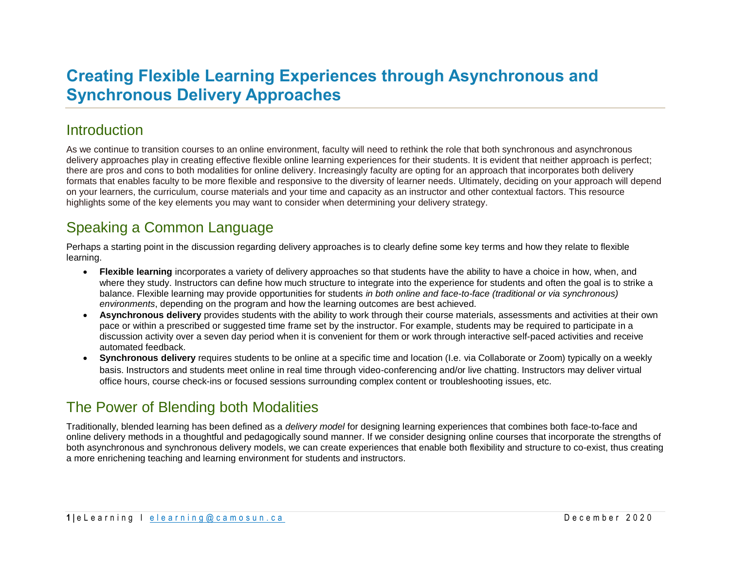# **Creating Flexible Learning Experiences through Asynchronous and Synchronous Delivery Approaches**

### **Introduction**

As we continue to transition courses to an online environment, faculty will need to rethink the role that both synchronous and asynchronous delivery approaches play in creating effective flexible online learning experiences for their students. It is evident that neither approach is perfect; there are pros and cons to both modalities for online delivery. Increasingly faculty are opting for an approach that incorporates both delivery formats that enables faculty to be more flexible and responsive to the diversity of learner needs. Ultimately, deciding on your approach will depend on your learners, the curriculum, course materials and your time and capacity as an instructor and other contextual factors. This resource highlights some of the key elements you may want to consider when determining your delivery strategy.

# Speaking a Common Language

Perhaps a starting point in the discussion regarding delivery approaches is to clearly define some key terms and how they relate to flexible learning.

- **Flexible learning** incorporates a variety of delivery approaches so that students have the ability to have a choice in how, when, and where they study. Instructors can define how much structure to integrate into the experience for students and often the goal is to strike a balance. Flexible learning may provide opportunities for students *in both online and face-to-face (traditional or via synchronous) environments*, depending on the program and how the learning outcomes are best achieved.
- **Asynchronous delivery** provides students with the ability to work through their course materials, assessments and activities at their own pace or within a prescribed or suggested time frame set by the instructor. For example, students may be required to participate in a discussion activity over a seven day period when it is convenient for them or work through interactive self-paced activities and receive automated feedback.
- **Synchronous delivery** requires students to be online at a specific time and location (I.e. via Collaborate or Zoom) typically on a weekly basis. Instructors and students meet online in real time through video-conferencing and/or live chatting. Instructors may deliver virtual office hours, course check-ins or focused sessions surrounding complex content or troubleshooting issues, etc.

## The Power of Blending both Modalities

Traditionally, blended learning has been defined as a *delivery model* for designing learning experiences that combines both face-to-face and online delivery methods in a thoughtful and pedagogically sound manner. If we consider designing online courses that incorporate the strengths of both asynchronous and synchronous delivery models, we can create experiences that enable both flexibility and structure to co-exist, thus creating a more enrichening teaching and learning environment for students and instructors.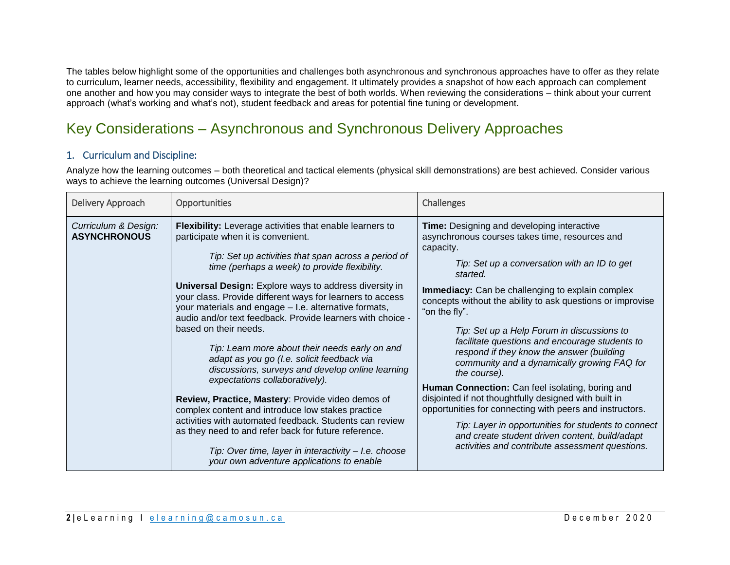The tables below highlight some of the opportunities and challenges both asynchronous and synchronous approaches have to offer as they relate to curriculum, learner needs, accessibility, flexibility and engagement. It ultimately provides a snapshot of how each approach can complement one another and how you may consider ways to integrate the best of both worlds. When reviewing the considerations – think about your current approach (what's working and what's not), student feedback and areas for potential fine tuning or development.

# Key Considerations – Asynchronous and Synchronous Delivery Approaches

#### 1. Curriculum and Discipline:

Analyze how the learning outcomes – both theoretical and tactical elements (physical skill demonstrations) are best achieved. Consider various ways to achieve the learning outcomes (Universal Design)?

| Delivery Approach                           | Opportunities                                                                                                                                                                                                                                                                                                                                                                                                                                                                                                                                                                                                                                                                                                                                                                                                                                                                                                                                                                                                | Challenges                                                                                                                                                                                                                                                                                                                                                                                                                                                                                                                                                                                                                                                                                                                                                                                                                                                       |
|---------------------------------------------|--------------------------------------------------------------------------------------------------------------------------------------------------------------------------------------------------------------------------------------------------------------------------------------------------------------------------------------------------------------------------------------------------------------------------------------------------------------------------------------------------------------------------------------------------------------------------------------------------------------------------------------------------------------------------------------------------------------------------------------------------------------------------------------------------------------------------------------------------------------------------------------------------------------------------------------------------------------------------------------------------------------|------------------------------------------------------------------------------------------------------------------------------------------------------------------------------------------------------------------------------------------------------------------------------------------------------------------------------------------------------------------------------------------------------------------------------------------------------------------------------------------------------------------------------------------------------------------------------------------------------------------------------------------------------------------------------------------------------------------------------------------------------------------------------------------------------------------------------------------------------------------|
| Curriculum & Design:<br><b>ASYNCHRONOUS</b> | Flexibility: Leverage activities that enable learners to<br>participate when it is convenient.<br>Tip: Set up activities that span across a period of<br>time (perhaps a week) to provide flexibility.<br><b>Universal Design:</b> Explore ways to address diversity in<br>your class. Provide different ways for learners to access<br>your materials and engage - I.e. alternative formats,<br>audio and/or text feedback. Provide learners with choice -<br>based on their needs.<br>Tip: Learn more about their needs early on and<br>adapt as you go (I.e. solicit feedback via<br>discussions, surveys and develop online learning<br>expectations collaboratively).<br>Review, Practice, Mastery: Provide video demos of<br>complex content and introduce low stakes practice<br>activities with automated feedback. Students can review<br>as they need to and refer back for future reference.<br>Tip: Over time, layer in interactivity - I.e. choose<br>your own adventure applications to enable | Time: Designing and developing interactive<br>asynchronous courses takes time, resources and<br>capacity.<br>Tip: Set up a conversation with an ID to get<br>started.<br><b>Immediacy:</b> Can be challenging to explain complex<br>concepts without the ability to ask questions or improvise<br>"on the fly".<br>Tip: Set up a Help Forum in discussions to<br>facilitate questions and encourage students to<br>respond if they know the answer (building<br>community and a dynamically growing FAQ for<br>the course).<br>Human Connection: Can feel isolating, boring and<br>disjointed if not thoughtfully designed with built in<br>opportunities for connecting with peers and instructors.<br>Tip: Layer in opportunities for students to connect<br>and create student driven content, build/adapt<br>activities and contribute assessment questions. |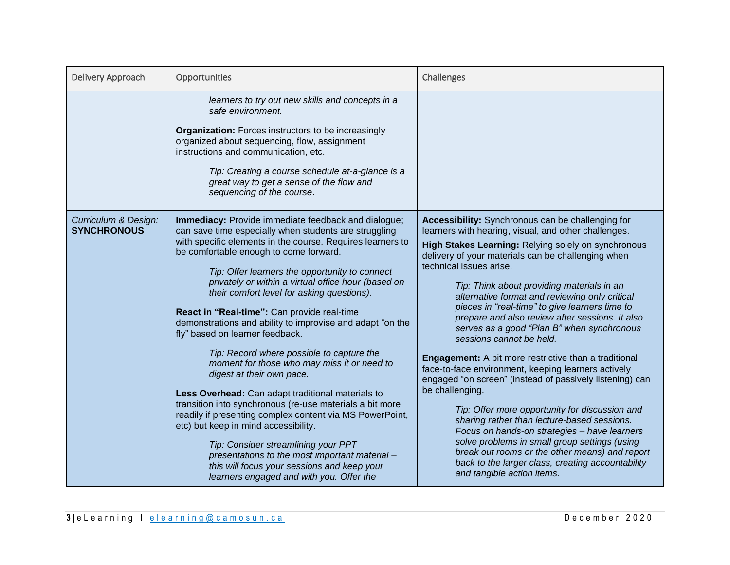| Delivery Approach                          | Opportunities                                                                                                                                                                                                                                                                                                                                                                                                                                                                                                                                                                                                                                                                                                                                                                                                                                                                                                                                                                                                                                                | Challenges                                                                                                                                                                                                                                                                                                                                                                                                                                                                                                                                                                                                                                                                                                                                                                                                                                                                                                                                                                                                                                                                    |
|--------------------------------------------|--------------------------------------------------------------------------------------------------------------------------------------------------------------------------------------------------------------------------------------------------------------------------------------------------------------------------------------------------------------------------------------------------------------------------------------------------------------------------------------------------------------------------------------------------------------------------------------------------------------------------------------------------------------------------------------------------------------------------------------------------------------------------------------------------------------------------------------------------------------------------------------------------------------------------------------------------------------------------------------------------------------------------------------------------------------|-------------------------------------------------------------------------------------------------------------------------------------------------------------------------------------------------------------------------------------------------------------------------------------------------------------------------------------------------------------------------------------------------------------------------------------------------------------------------------------------------------------------------------------------------------------------------------------------------------------------------------------------------------------------------------------------------------------------------------------------------------------------------------------------------------------------------------------------------------------------------------------------------------------------------------------------------------------------------------------------------------------------------------------------------------------------------------|
|                                            | learners to try out new skills and concepts in a<br>safe environment.<br><b>Organization:</b> Forces instructors to be increasingly<br>organized about sequencing, flow, assignment<br>instructions and communication, etc.<br>Tip: Creating a course schedule at-a-glance is a<br>great way to get a sense of the flow and<br>sequencing of the course.                                                                                                                                                                                                                                                                                                                                                                                                                                                                                                                                                                                                                                                                                                     |                                                                                                                                                                                                                                                                                                                                                                                                                                                                                                                                                                                                                                                                                                                                                                                                                                                                                                                                                                                                                                                                               |
| Curriculum & Design:<br><b>SYNCHRONOUS</b> | Immediacy: Provide immediate feedback and dialogue;<br>can save time especially when students are struggling<br>with specific elements in the course. Requires learners to<br>be comfortable enough to come forward.<br>Tip: Offer learners the opportunity to connect<br>privately or within a virtual office hour (based on<br>their comfort level for asking questions).<br>React in "Real-time": Can provide real-time<br>demonstrations and ability to improvise and adapt "on the<br>fly" based on learner feedback.<br>Tip: Record where possible to capture the<br>moment for those who may miss it or need to<br>digest at their own pace.<br>Less Overhead: Can adapt traditional materials to<br>transition into synchronous (re-use materials a bit more<br>readily if presenting complex content via MS PowerPoint,<br>etc) but keep in mind accessibility.<br>Tip: Consider streamlining your PPT<br>presentations to the most important material -<br>this will focus your sessions and keep your<br>learners engaged and with you. Offer the | Accessibility: Synchronous can be challenging for<br>learners with hearing, visual, and other challenges.<br>High Stakes Learning: Relying solely on synchronous<br>delivery of your materials can be challenging when<br>technical issues arise.<br>Tip: Think about providing materials in an<br>alternative format and reviewing only critical<br>pieces in "real-time" to give learners time to<br>prepare and also review after sessions. It also<br>serves as a good "Plan B" when synchronous<br>sessions cannot be held.<br><b>Engagement:</b> A bit more restrictive than a traditional<br>face-to-face environment, keeping learners actively<br>engaged "on screen" (instead of passively listening) can<br>be challenging.<br>Tip: Offer more opportunity for discussion and<br>sharing rather than lecture-based sessions.<br>Focus on hands-on strategies - have learners<br>solve problems in small group settings (using<br>break out rooms or the other means) and report<br>back to the larger class, creating accountability<br>and tangible action items. |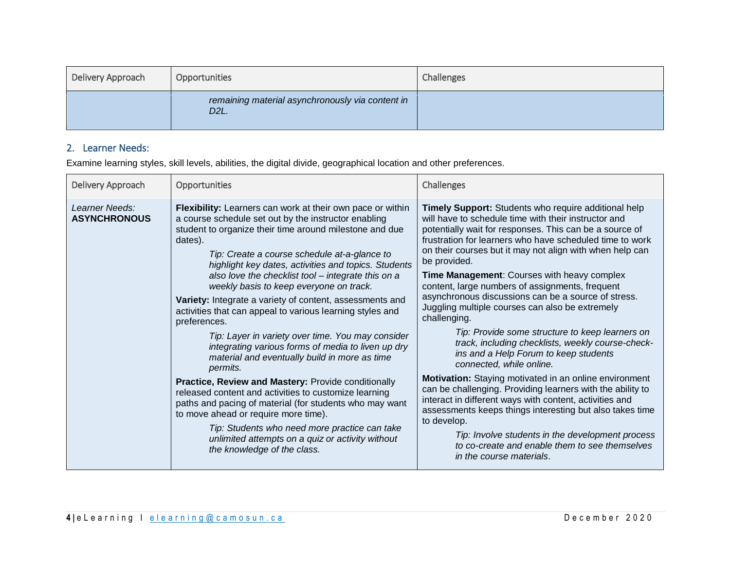| Delivery Approach | Opportunities                                                         | Challenges |
|-------------------|-----------------------------------------------------------------------|------------|
|                   | remaining material asynchronously via content in<br>D <sub>2</sub> L. |            |

#### 2. Learner Needs:

Examine learning styles, skill levels, abilities, the digital divide, geographical location and other preferences.

| Delivery Approach                     | Opportunities                                                                                                                                                                                                                                                                                                                                                                                                                                                                                                                                                                                                                                                                                                                                                                                                                                                                                                                                                                                                                                                             | <b>Challenges</b>                                                                                                                                                                                                                                                                                                                                                                                                                                                                                                                                                                                                                                                                                                                                                                                                                                                                                                                                                                                                                                                                                                        |
|---------------------------------------|---------------------------------------------------------------------------------------------------------------------------------------------------------------------------------------------------------------------------------------------------------------------------------------------------------------------------------------------------------------------------------------------------------------------------------------------------------------------------------------------------------------------------------------------------------------------------------------------------------------------------------------------------------------------------------------------------------------------------------------------------------------------------------------------------------------------------------------------------------------------------------------------------------------------------------------------------------------------------------------------------------------------------------------------------------------------------|--------------------------------------------------------------------------------------------------------------------------------------------------------------------------------------------------------------------------------------------------------------------------------------------------------------------------------------------------------------------------------------------------------------------------------------------------------------------------------------------------------------------------------------------------------------------------------------------------------------------------------------------------------------------------------------------------------------------------------------------------------------------------------------------------------------------------------------------------------------------------------------------------------------------------------------------------------------------------------------------------------------------------------------------------------------------------------------------------------------------------|
| Learner Needs:<br><b>ASYNCHRONOUS</b> | Flexibility: Learners can work at their own pace or within<br>a course schedule set out by the instructor enabling<br>student to organize their time around milestone and due<br>dates).<br>Tip: Create a course schedule at-a-glance to<br>highlight key dates, activities and topics. Students<br>also love the checklist tool - integrate this on a<br>weekly basis to keep everyone on track.<br>Variety: Integrate a variety of content, assessments and<br>activities that can appeal to various learning styles and<br>preferences.<br>Tip: Layer in variety over time. You may consider<br>integrating various forms of media to liven up dry<br>material and eventually build in more as time<br>permits.<br>Practice, Review and Mastery: Provide conditionally<br>released content and activities to customize learning<br>paths and pacing of material (for students who may want<br>to move ahead or require more time).<br>Tip: Students who need more practice can take<br>unlimited attempts on a quiz or activity without<br>the knowledge of the class. | Timely Support: Students who require additional help<br>will have to schedule time with their instructor and<br>potentially wait for responses. This can be a source of<br>frustration for learners who have scheduled time to work<br>on their courses but it may not align with when help can<br>be provided.<br>Time Management: Courses with heavy complex<br>content, large numbers of assignments, frequent<br>asynchronous discussions can be a source of stress.<br>Juggling multiple courses can also be extremely<br>challenging.<br>Tip: Provide some structure to keep learners on<br>track, including checklists, weekly course-check-<br>ins and a Help Forum to keep students<br>connected, while online.<br>Motivation: Staying motivated in an online environment<br>can be challenging. Providing learners with the ability to<br>interact in different ways with content, activities and<br>assessments keeps things interesting but also takes time<br>to develop.<br>Tip: Involve students in the development process<br>to co-create and enable them to see themselves<br>in the course materials. |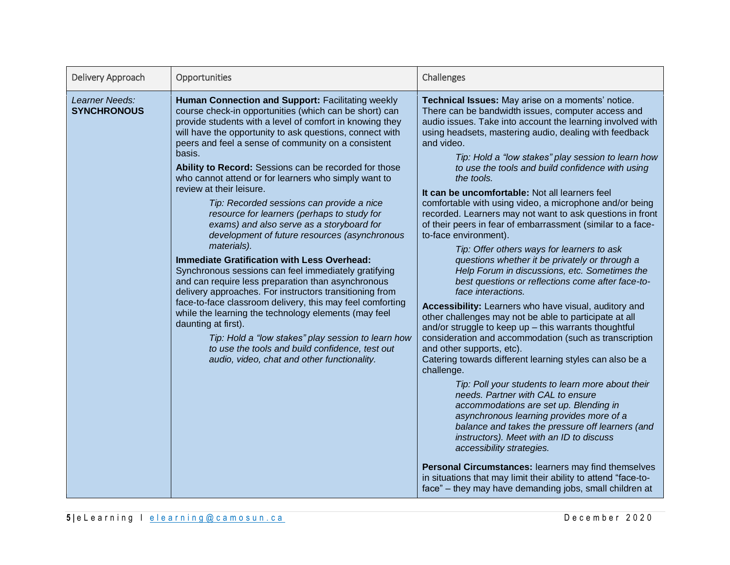| Delivery Approach                    | Opportunities                                                                                                                                                                                                                                                                                                                                                                                                                                                                                                                                                                                                                                                                                                                                                                                                                                                                                                                                                                                                                                                                                                                                                                                 | Challenges                                                                                                                                                                                                                                                                                                                                                                                                                                                                                                                                                                                                                                                                                                                                                                                                                                                                                                                                                                                                                                                                                                                                                                                                                                                                                                                                                                                                                                                                                                                                                                                                                                                                                                         |
|--------------------------------------|-----------------------------------------------------------------------------------------------------------------------------------------------------------------------------------------------------------------------------------------------------------------------------------------------------------------------------------------------------------------------------------------------------------------------------------------------------------------------------------------------------------------------------------------------------------------------------------------------------------------------------------------------------------------------------------------------------------------------------------------------------------------------------------------------------------------------------------------------------------------------------------------------------------------------------------------------------------------------------------------------------------------------------------------------------------------------------------------------------------------------------------------------------------------------------------------------|--------------------------------------------------------------------------------------------------------------------------------------------------------------------------------------------------------------------------------------------------------------------------------------------------------------------------------------------------------------------------------------------------------------------------------------------------------------------------------------------------------------------------------------------------------------------------------------------------------------------------------------------------------------------------------------------------------------------------------------------------------------------------------------------------------------------------------------------------------------------------------------------------------------------------------------------------------------------------------------------------------------------------------------------------------------------------------------------------------------------------------------------------------------------------------------------------------------------------------------------------------------------------------------------------------------------------------------------------------------------------------------------------------------------------------------------------------------------------------------------------------------------------------------------------------------------------------------------------------------------------------------------------------------------------------------------------------------------|
| Learner Needs:<br><b>SYNCHRONOUS</b> | Human Connection and Support: Facilitating weekly<br>course check-in opportunities (which can be short) can<br>provide students with a level of comfort in knowing they<br>will have the opportunity to ask questions, connect with<br>peers and feel a sense of community on a consistent<br>basis.<br>Ability to Record: Sessions can be recorded for those<br>who cannot attend or for learners who simply want to<br>review at their leisure.<br>Tip: Recorded sessions can provide a nice<br>resource for learners (perhaps to study for<br>exams) and also serve as a storyboard for<br>development of future resources (asynchronous<br>materials).<br><b>Immediate Gratification with Less Overhead:</b><br>Synchronous sessions can feel immediately gratifying<br>and can require less preparation than asynchronous<br>delivery approaches. For instructors transitioning from<br>face-to-face classroom delivery, this may feel comforting<br>while the learning the technology elements (may feel<br>daunting at first).<br>Tip: Hold a "low stakes" play session to learn how<br>to use the tools and build confidence, test out<br>audio, video, chat and other functionality. | Technical Issues: May arise on a moments' notice.<br>There can be bandwidth issues, computer access and<br>audio issues. Take into account the learning involved with<br>using headsets, mastering audio, dealing with feedback<br>and video.<br>Tip: Hold a "low stakes" play session to learn how<br>to use the tools and build confidence with using<br>the tools.<br>It can be uncomfortable: Not all learners feel<br>comfortable with using video, a microphone and/or being<br>recorded. Learners may not want to ask questions in front<br>of their peers in fear of embarrassment (similar to a face-<br>to-face environment).<br>Tip: Offer others ways for learners to ask<br>questions whether it be privately or through a<br>Help Forum in discussions, etc. Sometimes the<br>best questions or reflections come after face-to-<br>face interactions.<br>Accessibility: Learners who have visual, auditory and<br>other challenges may not be able to participate at all<br>and/or struggle to keep up - this warrants thoughtful<br>consideration and accommodation (such as transcription<br>and other supports, etc).<br>Catering towards different learning styles can also be a<br>challenge.<br>Tip: Poll your students to learn more about their<br>needs. Partner with CAL to ensure<br>accommodations are set up. Blending in<br>asynchronous learning provides more of a<br>balance and takes the pressure off learners (and<br>instructors). Meet with an ID to discuss<br>accessibility strategies.<br>Personal Circumstances: learners may find themselves<br>in situations that may limit their ability to attend "face-to-<br>face" - they may have demanding jobs, small children at |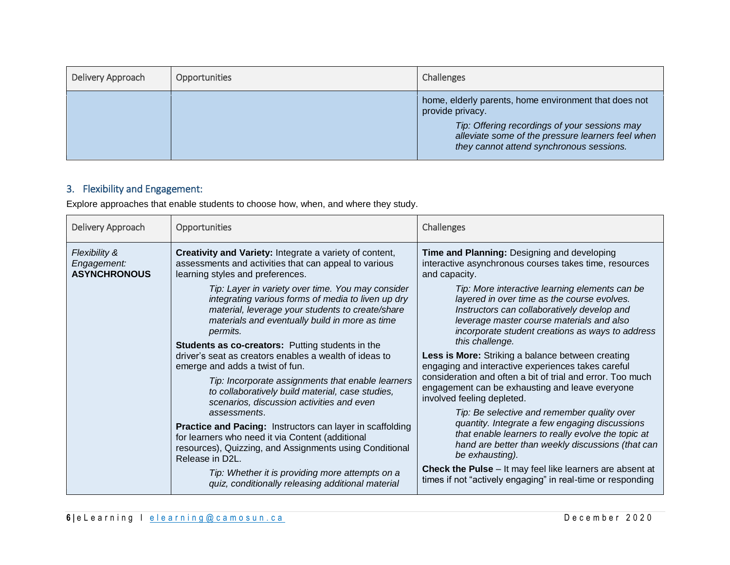| Delivery Approach | Opportunities | Challenges                                                                                                                                                                                                                  |
|-------------------|---------------|-----------------------------------------------------------------------------------------------------------------------------------------------------------------------------------------------------------------------------|
|                   |               | home, elderly parents, home environment that does not<br>provide privacy.<br>Tip: Offering recordings of your sessions may<br>alleviate some of the pressure learners feel when<br>they cannot attend synchronous sessions. |

### 3. Flexibility and Engagement:

Explore approaches that enable students to choose how, when, and where they study.

| Delivery Approach                                   | Opportunities                                                                                                                                                                                                                                                                        | Challenges                                                                                                                                                                                                                                                       |
|-----------------------------------------------------|--------------------------------------------------------------------------------------------------------------------------------------------------------------------------------------------------------------------------------------------------------------------------------------|------------------------------------------------------------------------------------------------------------------------------------------------------------------------------------------------------------------------------------------------------------------|
| Flexibility &<br>Engagement:<br><b>ASYNCHRONOUS</b> | <b>Creativity and Variety:</b> Integrate a variety of content,<br>assessments and activities that can appeal to various<br>learning styles and preferences.                                                                                                                          | Time and Planning: Designing and developing<br>interactive asynchronous courses takes time, resources<br>and capacity.                                                                                                                                           |
|                                                     | Tip: Layer in variety over time. You may consider<br>integrating various forms of media to liven up dry<br>material, leverage your students to create/share<br>materials and eventually build in more as time<br>permits.<br><b>Students as co-creators:</b> Putting students in the | Tip: More interactive learning elements can be<br>layered in over time as the course evolves.<br>Instructors can collaboratively develop and<br>leverage master course materials and also<br>incorporate student creations as ways to address<br>this challenge. |
|                                                     | driver's seat as creators enables a wealth of ideas to<br>emerge and adds a twist of fun.<br>Tip: Incorporate assignments that enable learners                                                                                                                                       | Less is More: Striking a balance between creating<br>engaging and interactive experiences takes careful<br>consideration and often a bit of trial and error. Too much                                                                                            |
|                                                     | to collaboratively build material, case studies,<br>scenarios, discussion activities and even<br>assessments.                                                                                                                                                                        | engagement can be exhausting and leave everyone<br>involved feeling depleted.<br>Tip: Be selective and remember quality over                                                                                                                                     |
|                                                     | <b>Practice and Pacing: Instructors can layer in scaffolding</b><br>for learners who need it via Content (additional<br>resources), Quizzing, and Assignments using Conditional<br>Release in D2L.                                                                                   | quantity. Integrate a few engaging discussions<br>that enable learners to really evolve the topic at<br>hand are better than weekly discussions (that can<br>be exhausting).                                                                                     |
|                                                     | Tip: Whether it is providing more attempts on a<br>quiz, conditionally releasing additional material                                                                                                                                                                                 | <b>Check the Pulse</b> – It may feel like learners are absent at<br>times if not "actively engaging" in real-time or responding                                                                                                                                  |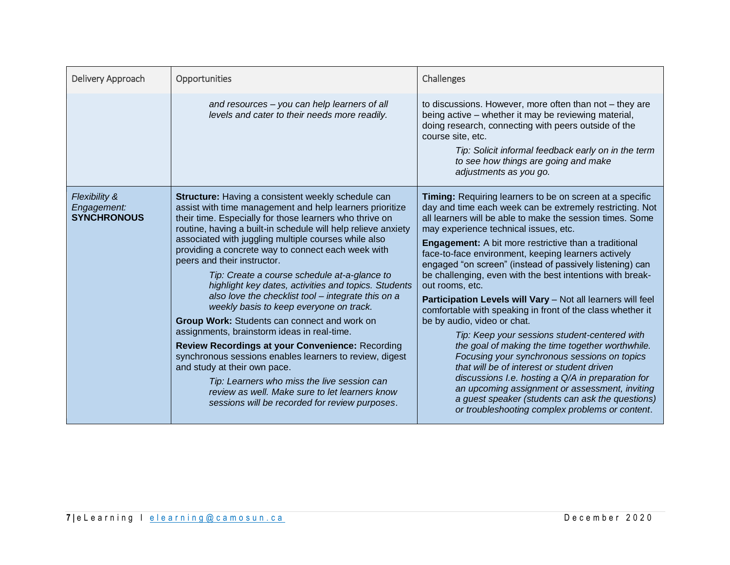| Delivery Approach                                  | Opportunities                                                                                                                                                                                                                                                                                                                                                                                                                                                                                                                                                                                                                                                                                                                                                                                                                                                                                                                                                                                            | Challenges                                                                                                                                                                                                                                                                                                                                                                                                                                                                                                                                                                                                                                                                                                                                                                                                                                                                                                                                                                                                                                                                 |
|----------------------------------------------------|----------------------------------------------------------------------------------------------------------------------------------------------------------------------------------------------------------------------------------------------------------------------------------------------------------------------------------------------------------------------------------------------------------------------------------------------------------------------------------------------------------------------------------------------------------------------------------------------------------------------------------------------------------------------------------------------------------------------------------------------------------------------------------------------------------------------------------------------------------------------------------------------------------------------------------------------------------------------------------------------------------|----------------------------------------------------------------------------------------------------------------------------------------------------------------------------------------------------------------------------------------------------------------------------------------------------------------------------------------------------------------------------------------------------------------------------------------------------------------------------------------------------------------------------------------------------------------------------------------------------------------------------------------------------------------------------------------------------------------------------------------------------------------------------------------------------------------------------------------------------------------------------------------------------------------------------------------------------------------------------------------------------------------------------------------------------------------------------|
|                                                    | and resources - you can help learners of all<br>levels and cater to their needs more readily.                                                                                                                                                                                                                                                                                                                                                                                                                                                                                                                                                                                                                                                                                                                                                                                                                                                                                                            | to discussions. However, more often than not - they are<br>being active - whether it may be reviewing material,<br>doing research, connecting with peers outside of the<br>course site, etc.<br>Tip: Solicit informal feedback early on in the term<br>to see how things are going and make<br>adjustments as you go.                                                                                                                                                                                                                                                                                                                                                                                                                                                                                                                                                                                                                                                                                                                                                      |
| Flexibility &<br>Engagement:<br><b>SYNCHRONOUS</b> | <b>Structure:</b> Having a consistent weekly schedule can<br>assist with time management and help learners prioritize<br>their time. Especially for those learners who thrive on<br>routine, having a built-in schedule will help relieve anxiety<br>associated with juggling multiple courses while also<br>providing a concrete way to connect each week with<br>peers and their instructor.<br>Tip: Create a course schedule at-a-glance to<br>highlight key dates, activities and topics. Students<br>also love the checklist tool - integrate this on a<br>weekly basis to keep everyone on track.<br>Group Work: Students can connect and work on<br>assignments, brainstorm ideas in real-time.<br>Review Recordings at your Convenience: Recording<br>synchronous sessions enables learners to review, digest<br>and study at their own pace.<br>Tip: Learners who miss the live session can<br>review as well. Make sure to let learners know<br>sessions will be recorded for review purposes. | Timing: Requiring learners to be on screen at a specific<br>day and time each week can be extremely restricting. Not<br>all learners will be able to make the session times. Some<br>may experience technical issues, etc.<br><b>Engagement:</b> A bit more restrictive than a traditional<br>face-to-face environment, keeping learners actively<br>engaged "on screen" (instead of passively listening) can<br>be challenging, even with the best intentions with break-<br>out rooms, etc.<br>Participation Levels will Vary - Not all learners will feel<br>comfortable with speaking in front of the class whether it<br>be by audio, video or chat.<br>Tip: Keep your sessions student-centered with<br>the goal of making the time together worthwhile.<br>Focusing your synchronous sessions on topics<br>that will be of interest or student driven<br>discussions I.e. hosting a Q/A in preparation for<br>an upcoming assignment or assessment, inviting<br>a guest speaker (students can ask the questions)<br>or troubleshooting complex problems or content. |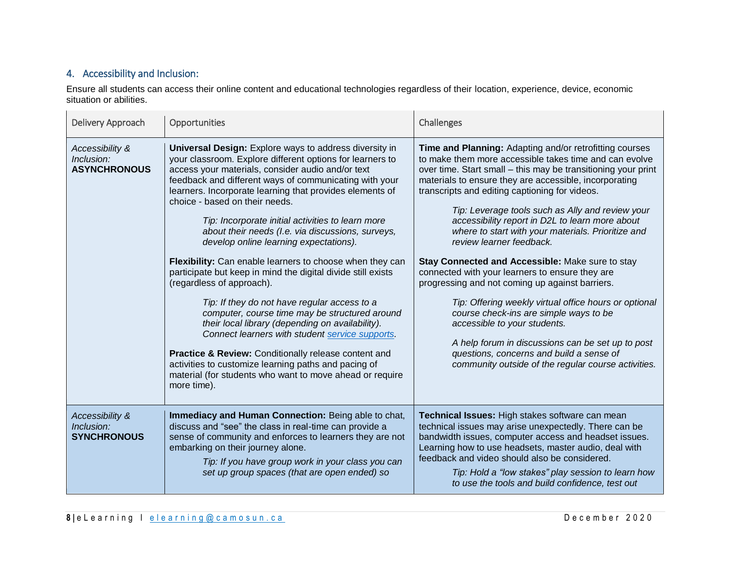#### 4. Accessibility and Inclusion:

Ensure all students can access their online content and educational technologies regardless of their location, experience, device, economic situation or abilities.

| Delivery Approach                                    | Opportunities                                                                                                                                                                                                                                                                                                                                                                                                                                                                                                                                                                                                                                                                                                                                                                                                                                                                                                                                                                                                                                            | Challenges                                                                                                                                                                                                                                                                                                                                                                                                                                                                                                                                                                                                                                                                                                                                                                                                                                                                                                                                   |
|------------------------------------------------------|----------------------------------------------------------------------------------------------------------------------------------------------------------------------------------------------------------------------------------------------------------------------------------------------------------------------------------------------------------------------------------------------------------------------------------------------------------------------------------------------------------------------------------------------------------------------------------------------------------------------------------------------------------------------------------------------------------------------------------------------------------------------------------------------------------------------------------------------------------------------------------------------------------------------------------------------------------------------------------------------------------------------------------------------------------|----------------------------------------------------------------------------------------------------------------------------------------------------------------------------------------------------------------------------------------------------------------------------------------------------------------------------------------------------------------------------------------------------------------------------------------------------------------------------------------------------------------------------------------------------------------------------------------------------------------------------------------------------------------------------------------------------------------------------------------------------------------------------------------------------------------------------------------------------------------------------------------------------------------------------------------------|
| Accessibility &<br>Inclusion:<br><b>ASYNCHRONOUS</b> | <b>Universal Design:</b> Explore ways to address diversity in<br>your classroom. Explore different options for learners to<br>access your materials, consider audio and/or text<br>feedback and different ways of communicating with your<br>learners. Incorporate learning that provides elements of<br>choice - based on their needs.<br>Tip: Incorporate initial activities to learn more<br>about their needs (I.e. via discussions, surveys,<br>develop online learning expectations).<br>Flexibility: Can enable learners to choose when they can<br>participate but keep in mind the digital divide still exists<br>(regardless of approach).<br>Tip: If they do not have regular access to a<br>computer, course time may be structured around<br>their local library (depending on availability).<br>Connect learners with student service supports.<br>Practice & Review: Conditionally release content and<br>activities to customize learning paths and pacing of<br>material (for students who want to move ahead or require<br>more time). | Time and Planning: Adapting and/or retrofitting courses<br>to make them more accessible takes time and can evolve<br>over time. Start small – this may be transitioning your print<br>materials to ensure they are accessible, incorporating<br>transcripts and editing captioning for videos.<br>Tip: Leverage tools such as Ally and review your<br>accessibility report in D2L to learn more about<br>where to start with your materials. Prioritize and<br>review learner feedback.<br>Stay Connected and Accessible: Make sure to stay<br>connected with your learners to ensure they are<br>progressing and not coming up against barriers.<br>Tip: Offering weekly virtual office hours or optional<br>course check-ins are simple ways to be<br>accessible to your students.<br>A help forum in discussions can be set up to post<br>questions, concerns and build a sense of<br>community outside of the regular course activities. |
| Accessibility &<br>Inclusion:<br><b>SYNCHRONOUS</b>  | Immediacy and Human Connection: Being able to chat,<br>discuss and "see" the class in real-time can provide a<br>sense of community and enforces to learners they are not<br>embarking on their journey alone.<br>Tip: If you have group work in your class you can<br>set up group spaces (that are open ended) so                                                                                                                                                                                                                                                                                                                                                                                                                                                                                                                                                                                                                                                                                                                                      | Technical Issues: High stakes software can mean<br>technical issues may arise unexpectedly. There can be<br>bandwidth issues, computer access and headset issues.<br>Learning how to use headsets, master audio, deal with<br>feedback and video should also be considered.<br>Tip: Hold a "low stakes" play session to learn how<br>to use the tools and build confidence, test out                                                                                                                                                                                                                                                                                                                                                                                                                                                                                                                                                         |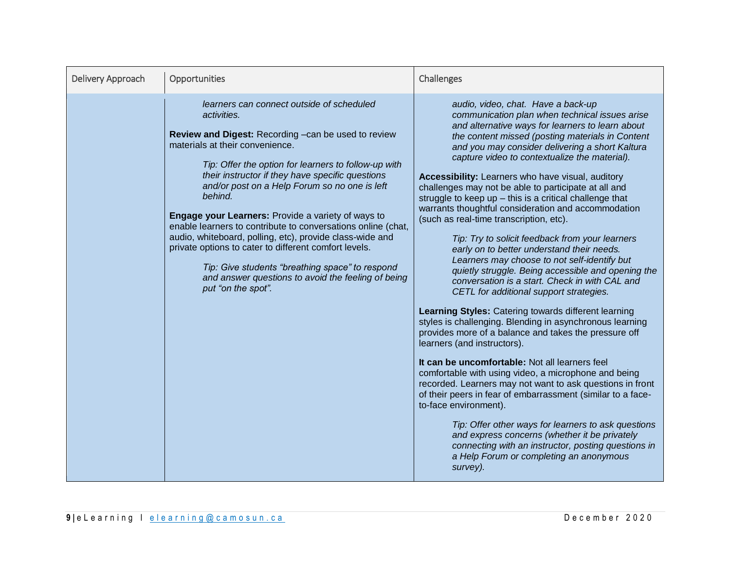| Delivery Approach | Opportunities                                                                                                                                                                                                                                                                                                                                                                                                                                                                                                                                                                                                                                                                                                | Challenges                                                                                                                                                                                                                                                                                                                                                                                                                                                                                                                                                                                                                                                                                                                                                                                                                                                                                                                                                                                                                                                                                                                                                                                                                                                                                                                                                                                                                                                                                                                                                                        |
|-------------------|--------------------------------------------------------------------------------------------------------------------------------------------------------------------------------------------------------------------------------------------------------------------------------------------------------------------------------------------------------------------------------------------------------------------------------------------------------------------------------------------------------------------------------------------------------------------------------------------------------------------------------------------------------------------------------------------------------------|-----------------------------------------------------------------------------------------------------------------------------------------------------------------------------------------------------------------------------------------------------------------------------------------------------------------------------------------------------------------------------------------------------------------------------------------------------------------------------------------------------------------------------------------------------------------------------------------------------------------------------------------------------------------------------------------------------------------------------------------------------------------------------------------------------------------------------------------------------------------------------------------------------------------------------------------------------------------------------------------------------------------------------------------------------------------------------------------------------------------------------------------------------------------------------------------------------------------------------------------------------------------------------------------------------------------------------------------------------------------------------------------------------------------------------------------------------------------------------------------------------------------------------------------------------------------------------------|
|                   | learners can connect outside of scheduled<br>activities.<br>Review and Digest: Recording - can be used to review<br>materials at their convenience.<br>Tip: Offer the option for learners to follow-up with<br>their instructor if they have specific questions<br>and/or post on a Help Forum so no one is left<br>behind.<br><b>Engage your Learners: Provide a variety of ways to</b><br>enable learners to contribute to conversations online (chat,<br>audio, whiteboard, polling, etc), provide class-wide and<br>private options to cater to different comfort levels.<br>Tip: Give students "breathing space" to respond<br>and answer questions to avoid the feeling of being<br>put "on the spot". | audio, video, chat. Have a back-up<br>communication plan when technical issues arise<br>and alternative ways for learners to learn about<br>the content missed (posting materials in Content<br>and you may consider delivering a short Kaltura<br>capture video to contextualize the material).<br>Accessibility: Learners who have visual, auditory<br>challenges may not be able to participate at all and<br>struggle to keep up $-$ this is a critical challenge that<br>warrants thoughtful consideration and accommodation<br>(such as real-time transcription, etc).<br>Tip: Try to solicit feedback from your learners<br>early on to better understand their needs.<br>Learners may choose to not self-identify but<br>quietly struggle. Being accessible and opening the<br>conversation is a start. Check in with CAL and<br>CETL for additional support strategies.<br>Learning Styles: Catering towards different learning<br>styles is challenging. Blending in asynchronous learning<br>provides more of a balance and takes the pressure off<br>learners (and instructors).<br>It can be uncomfortable: Not all learners feel<br>comfortable with using video, a microphone and being<br>recorded. Learners may not want to ask questions in front<br>of their peers in fear of embarrassment (similar to a face-<br>to-face environment).<br>Tip: Offer other ways for learners to ask questions<br>and express concerns (whether it be privately<br>connecting with an instructor, posting questions in<br>a Help Forum or completing an anonymous<br>survey). |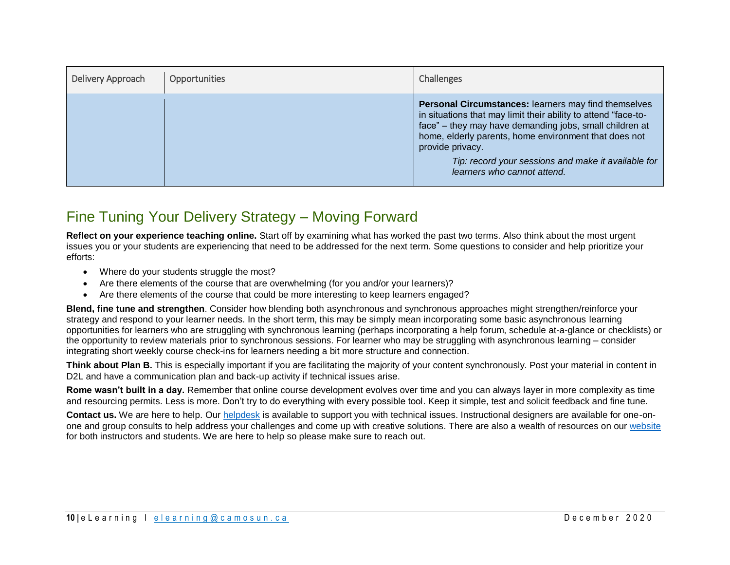| Delivery Approach | Opportunities | Challenges                                                                                                                                                                                                                                                                                                                                           |
|-------------------|---------------|------------------------------------------------------------------------------------------------------------------------------------------------------------------------------------------------------------------------------------------------------------------------------------------------------------------------------------------------------|
|                   |               | Personal Circumstances: learners may find themselves<br>in situations that may limit their ability to attend "face-to-<br>face" - they may have demanding jobs, small children at<br>home, elderly parents, home environment that does not<br>provide privacy.<br>Tip: record your sessions and make it available for<br>learners who cannot attend. |

### Fine Tuning Your Delivery Strategy – Moving Forward

**Reflect on your experience teaching online.** Start off by examining what has worked the past two terms. Also think about the most urgent issues you or your students are experiencing that need to be addressed for the next term. Some questions to consider and help prioritize your efforts:

- Where do your students struggle the most?
- Are there elements of the course that are overwhelming (for you and/or your learners)?
- Are there elements of the course that could be more interesting to keep learners engaged?

**Blend, fine tune and strengthen**. Consider how blending both asynchronous and synchronous approaches might strengthen/reinforce your strategy and respond to your learner needs. In the short term, this may be simply mean incorporating some basic asynchronous learning opportunities for learners who are struggling with synchronous learning (perhaps incorporating a help forum, schedule at-a-glance or checklists) or the opportunity to review materials prior to synchronous sessions. For learner who may be struggling with asynchronous learning – consider integrating short weekly course check-ins for learners needing a bit more structure and connection.

**Think about Plan B.** This is especially important if you are facilitating the majority of your content synchronously. Post your material in content in D2L and have a communication plan and back-up activity if technical issues arise.

**Rome wasn't built in a day.** Remember that online course development evolves over time and you can always layer in more complexity as time and resourcing permits. Less is more. Don't try to do everything with every possible tool. Keep it simple, test and solicit feedback and fine tune.

**Contact us.** We are here to help. Our [helpdesk](mailto:%20elearning@camosun.ca) is available to support you with technical issues. Instructional designers are available for one-onone and group consults to help address your challenges and come up with creative solutions. There are also a wealth of resources on our [website](http://camosun.ca/about/teaching-learning/index.html) for both instructors and students. We are here to help so please make sure to reach out.